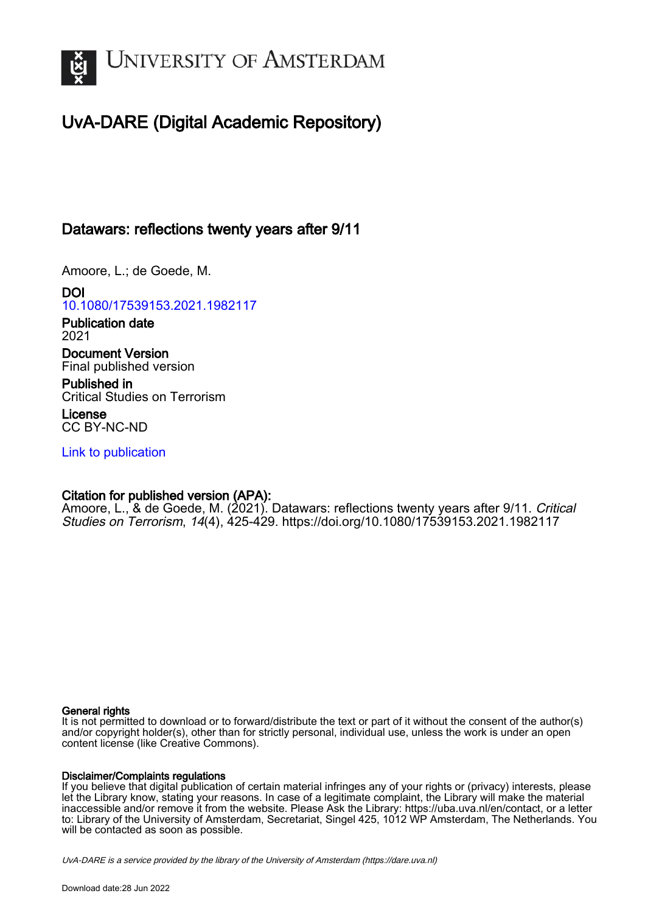

# UvA-DARE (Digital Academic Repository)

# Datawars: reflections twenty years after 9/11

Amoore, L.; de Goede, M.

DOI [10.1080/17539153.2021.1982117](https://doi.org/10.1080/17539153.2021.1982117)

Publication date 2021

Document Version Final published version

Published in Critical Studies on Terrorism

License CC BY-NC-ND

[Link to publication](https://dare.uva.nl/personal/pure/en/publications/datawars-reflections-twenty-years-after-911(8b182f54-821b-4aad-8a4e-0b4bcb1365a7).html)

# Citation for published version (APA):

Amoore, L., & de Goede, M. (2021). Datawars: reflections twenty years after 9/11. Critical Studies on Terrorism, 14(4), 425-429.<https://doi.org/10.1080/17539153.2021.1982117>

# General rights

It is not permitted to download or to forward/distribute the text or part of it without the consent of the author(s) and/or copyright holder(s), other than for strictly personal, individual use, unless the work is under an open content license (like Creative Commons).

# Disclaimer/Complaints regulations

If you believe that digital publication of certain material infringes any of your rights or (privacy) interests, please let the Library know, stating your reasons. In case of a legitimate complaint, the Library will make the material inaccessible and/or remove it from the website. Please Ask the Library: https://uba.uva.nl/en/contact, or a letter to: Library of the University of Amsterdam, Secretariat, Singel 425, 1012 WP Amsterdam, The Netherlands. You will be contacted as soon as possible.

UvA-DARE is a service provided by the library of the University of Amsterdam (http*s*://dare.uva.nl)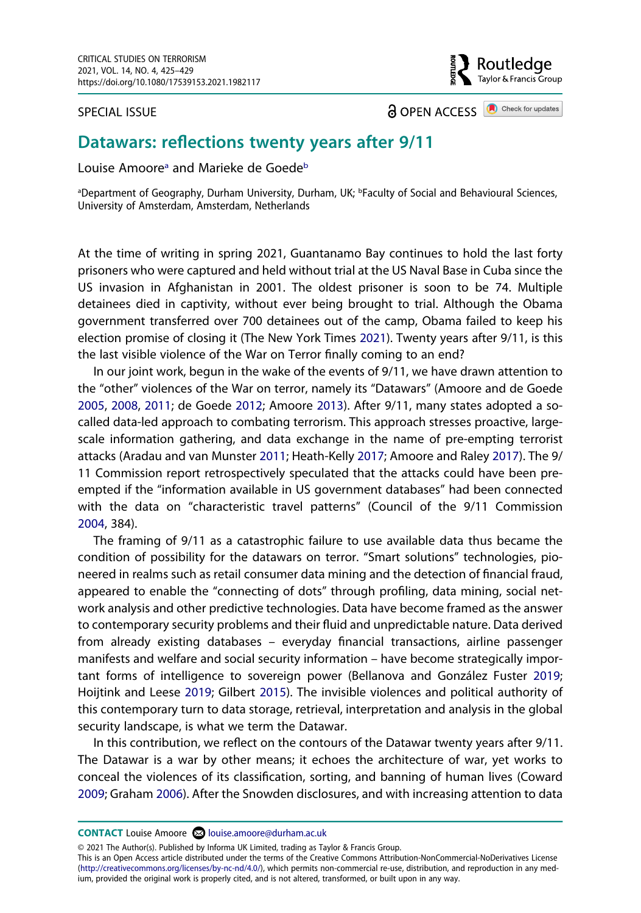SPECIAL ISSUE

**a** OPEN ACCESS **a** Check for updates

outledge. Taylor & Francis Group

# **Datawars: reflections twenty years after 9/11**

Louise Amoore<sup>a</sup> and Marieke de Goede<sup>[b](#page-1-0)</sup>

<span id="page-1-0"></span><sup>a</sup>Department of Geography, Durham University, Durham, UK; <sup>b</sup>Faculty of Social and Behavioural Sciences, University of Amsterdam, Amsterdam, Netherlands

At the time of writing in spring 2021, Guantanamo Bay continues to hold the last forty prisoners who were captured and held without trial at the US Naval Base in Cuba since the US invasion in Afghanistan in 2001. The oldest prisoner is soon to be 74. Multiple detainees died in captivity, without ever being brought to trial. Although the Obama government transferred over 700 detainees out of the camp, Obama failed to keep his election promise of closing it (The New York Times [2021\)](#page-5-0). Twenty years after 9/11, is this the last visible violence of the War on Terror finally coming to an end?

<span id="page-1-9"></span><span id="page-1-3"></span><span id="page-1-2"></span><span id="page-1-1"></span>In our joint work, begun in the wake of the events of 9/11, we have drawn attention to the "other" violences of the War on terror, namely its "Datawars" (Amoore and de Goede [2005,](#page-4-0) [2008](#page-4-1), [2011;](#page-4-2) de Goede [2012;](#page-5-1) Amoore [2013](#page-4-3)). After 9/11, many states adopted a socalled data-led approach to combating terrorism. This approach stresses proactive, largescale information gathering, and data exchange in the name of pre-empting terrorist attacks (Aradau and van Munster [2011](#page-4-4); Heath-Kelly [2017;](#page-5-2) Amoore and Raley [2017\)](#page-4-5). The 9/ 11 Commission report retrospectively speculated that the attacks could have been preempted if the "information available in US government databases" had been connected with the data on "characteristic travel patterns" (Council of the 9/11 Commission [2004,](#page-5-3) 384).

<span id="page-1-5"></span>The framing of 9/11 as a catastrophic failure to use available data thus became the condition of possibility for the datawars on terror. "Smart solutions" technologies, pioneered in realms such as retail consumer data mining and the detection of financial fraud, appeared to enable the "connecting of dots" through profiling, data mining, social network analysis and other predictive technologies. Data have become framed as the answer to contemporary security problems and their fluid and unpredictable nature. Data derived from already existing databases – everyday financial transactions, airline passenger manifests and welfare and social security information – have become strategically important forms of intelligence to sovereign power (Bellanova and González Fuster [2019](#page-4-6); Hoijtink and Leese [2019;](#page-5-4) Gilbert [2015](#page-5-5)). The invisible violences and political authority of this contemporary turn to data storage, retrieval, interpretation and analysis in the global security landscape, is what we term the Datawar.

<span id="page-1-8"></span><span id="page-1-7"></span><span id="page-1-6"></span><span id="page-1-4"></span>In this contribution, we reflect on the contours of the Datawar twenty years after 9/11. The Datawar is a war by other means; it echoes the architecture of war, yet works to conceal the violences of its classification, sorting, and banning of human lives (Coward [2009;](#page-5-6) Graham [2006\)](#page-5-7). After the Snowden disclosures, and with increasing attention to data

**CONTACT** Louise Amoore **2** louise.amoore@durham.ac.uk

© 2021 The Author(s). Published by Informa UK Limited, trading as Taylor & Francis Group.

This is an Open Access article distributed under the terms of the Creative Commons Attribution-NonCommercial-NoDerivatives License (http://creativecommons.org/licenses/by-nc-nd/4.0/), which permits non-commercial re-use, distribution, and reproduction in any medium, provided the original work is properly cited, and is not altered, transformed, or built upon in any way.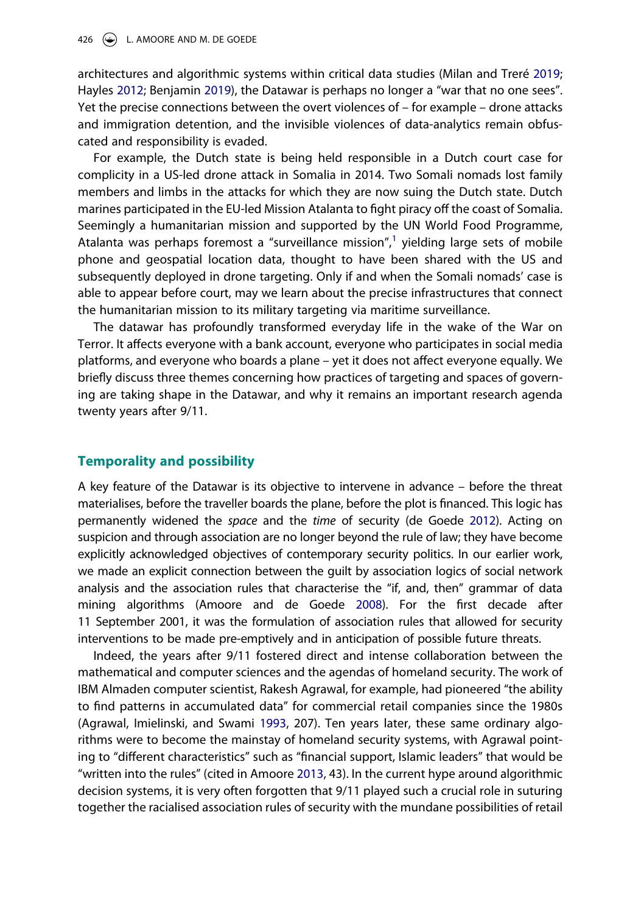<span id="page-2-2"></span><span id="page-2-1"></span>architectures and algorithmic systems within critical data studies (Milan and Treré [2019](#page-5-8); Hayles [2012;](#page-5-9) Benjamin [2019\)](#page-5-10), the Datawar is perhaps no longer a "war that no one sees". Yet the precise connections between the overt violences of – for example – drone attacks and immigration detention, and the invisible violences of data-analytics remain obfuscated and responsibility is evaded.

For example, the Dutch state is being held responsible in a Dutch court case for complicity in a US-led drone attack in Somalia in 2014. Two Somali nomads lost family members and limbs in the attacks for which they are now suing the Dutch state. Dutch marines participated in the EU-led Mission Atalanta to fight piracy off the coast of Somalia. Seemingly a humanitarian mission and supported by the UN World Food Programme, Atalanta was perhaps foremost a "surveillance mission", $\frac{1}{1}$  $\frac{1}{1}$  $\frac{1}{1}$  yielding large sets of mobile phone and geospatial location data, thought to have been shared with the US and subsequently deployed in drone targeting. Only if and when the Somali nomads' case is able to appear before court, may we learn about the precise infrastructures that connect the humanitarian mission to its military targeting via maritime surveillance.

The datawar has profoundly transformed everyday life in the wake of the War on Terror. It affects everyone with a bank account, everyone who participates in social media platforms, and everyone who boards a plane – yet it does not affect everyone equally. We briefly discuss three themes concerning how practices of targeting and spaces of governing are taking shape in the Datawar, and why it remains an important research agenda twenty years after 9/11.

#### **Temporality and possibility**

A key feature of the Datawar is its objective to intervene in advance – before the threat materialises, before the traveller boards the plane, before the plot is financed. This logic has permanently widened the *space* and the *time* of security (de Goede [2012\)](#page-5-1). Acting on suspicion and through association are no longer beyond the rule of law; they have become explicitly acknowledged objectives of contemporary security politics. In our earlier work, we made an explicit connection between the guilt by association logics of social network analysis and the association rules that characterise the "if, and, then" grammar of data mining algorithms (Amoore and de Goede [2008](#page-4-1)). For the first decade after 11 September 2001, it was the formulation of association rules that allowed for security interventions to be made pre-emptively and in anticipation of possible future threats.

<span id="page-2-0"></span>Indeed, the years after 9/11 fostered direct and intense collaboration between the mathematical and computer sciences and the agendas of homeland security. The work of IBM Almaden computer scientist, Rakesh Agrawal, for example, had pioneered "the ability to find patterns in accumulated data" for commercial retail companies since the 1980s (Agrawal, Imielinski, and Swami [1993](#page-4-8), 207). Ten years later, these same ordinary algorithms were to become the mainstay of homeland security systems, with Agrawal pointing to "different characteristics" such as "financial support, Islamic leaders" that would be "written into the rules" (cited in Amoore [2013](#page-4-3), 43). In the current hype around algorithmic decision systems, it is very often forgotten that 9/11 played such a crucial role in suturing together the racialised association rules of security with the mundane possibilities of retail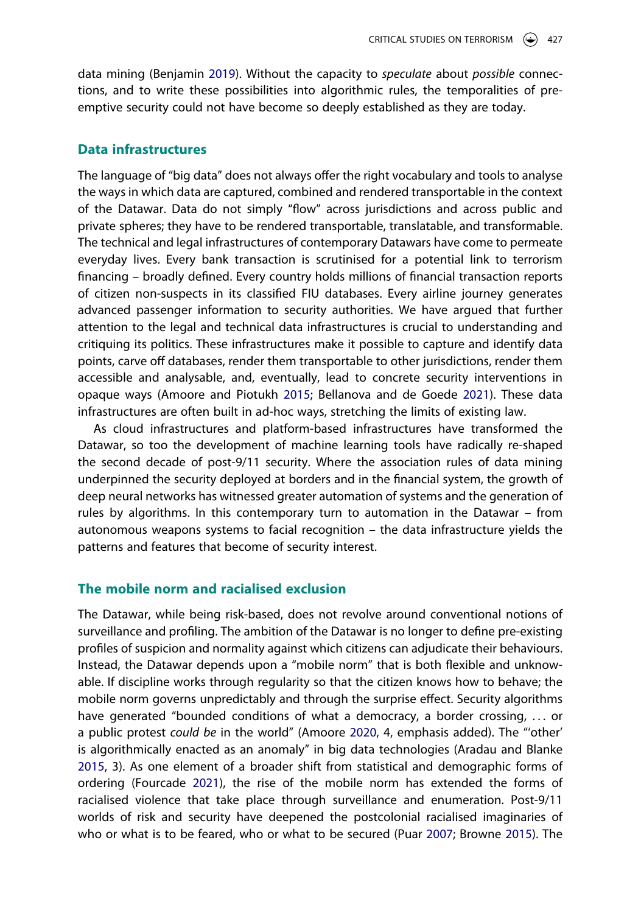data mining (Benjamin [2019](#page-5-10)). Without the capacity to *speculate* about *possible* connections, and to write these possibilities into algorithmic rules, the temporalities of preemptive security could not have become so deeply established as they are today.

#### **Data infrastructures**

The language of "big data" does not always offer the right vocabulary and tools to analyse the ways in which data are captured, combined and rendered transportable in the context of the Datawar. Data do not simply "flow" across jurisdictions and across public and private spheres; they have to be rendered transportable, translatable, and transformable. The technical and legal infrastructures of contemporary Datawars have come to permeate everyday lives. Every bank transaction is scrutinised for a potential link to terrorism financing – broadly defined. Every country holds millions of financial transaction reports of citizen non-suspects in its classified FIU databases. Every airline journey generates advanced passenger information to security authorities. We have argued that further attention to the legal and technical data infrastructures is crucial to understanding and critiquing its politics. These infrastructures make it possible to capture and identify data points, carve off databases, render them transportable to other jurisdictions, render them accessible and analysable, and, eventually, lead to concrete security interventions in opaque ways (Amoore and Piotukh [2015;](#page-4-9) Bellanova and de Goede [2021\)](#page-4-10). These data infrastructures are often built in ad-hoc ways, stretching the limits of existing law.

<span id="page-3-1"></span>As cloud infrastructures and platform-based infrastructures have transformed the Datawar, so too the development of machine learning tools have radically re-shaped the second decade of post-9/11 security. Where the association rules of data mining underpinned the security deployed at borders and in the financial system, the growth of deep neural networks has witnessed greater automation of systems and the generation of rules by algorithms. In this contemporary turn to automation in the Datawar – from autonomous weapons systems to facial recognition – the data infrastructure yields the patterns and features that become of security interest.

### **The mobile norm and racialised exclusion**

<span id="page-3-4"></span><span id="page-3-3"></span><span id="page-3-2"></span><span id="page-3-0"></span>The Datawar, while being risk-based, does not revolve around conventional notions of surveillance and profiling. The ambition of the Datawar is no longer to define pre-existing profiles of suspicion and normality against which citizens can adjudicate their behaviours. Instead, the Datawar depends upon a "mobile norm" that is both flexible and unknowable. If discipline works through regularity so that the citizen knows how to behave; the mobile norm governs unpredictably and through the surprise effect. Security algorithms have generated "bounded conditions of what a democracy, a border crossing, . . . or a public protest *could be* in the world" (Amoore [2020,](#page-4-11) 4, emphasis added). The "'other' is algorithmically enacted as an anomaly" in big data technologies (Aradau and Blanke [2015,](#page-4-12) 3). As one element of a broader shift from statistical and demographic forms of ordering (Fourcade [2021\)](#page-5-11), the rise of the mobile norm has extended the forms of racialised violence that take place through surveillance and enumeration. Post-9/11 worlds of risk and security have deepened the postcolonial racialised imaginaries of who or what is to be feared, who or what to be secured (Puar [2007;](#page-5-12) Browne [2015\)](#page-5-13). The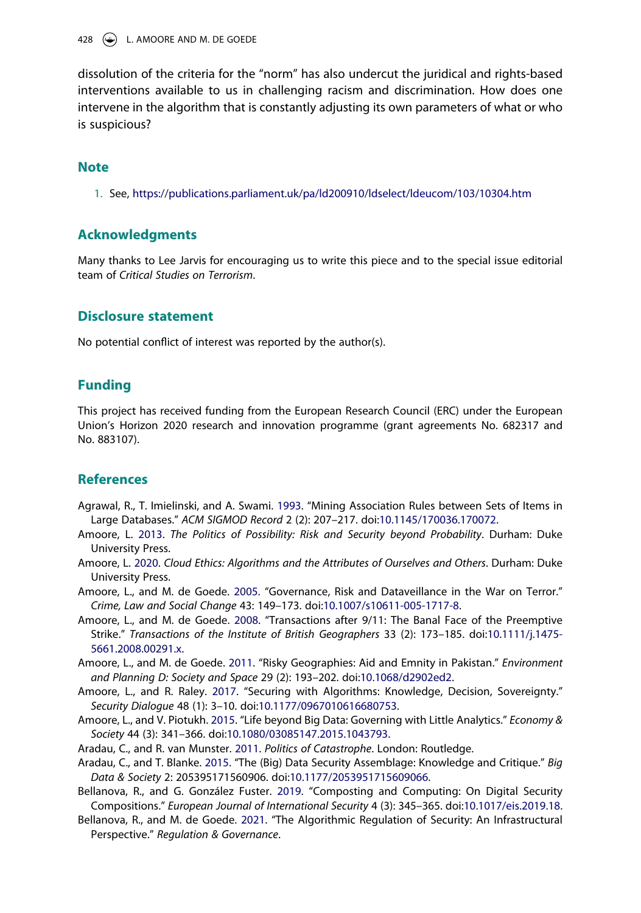428 L. AMOORE AND M. DE GOEDE

dissolution of the criteria for the "norm" has also undercut the juridical and rights-based interventions available to us in challenging racism and discrimination. How does one intervene in the algorithm that is constantly adjusting its own parameters of what or who is suspicious?

#### **Note**

<span id="page-4-7"></span>1. See, <https://publications.parliament.uk/pa/ld200910/ldselect/ldeucom/103/10304.htm>

#### **Acknowledgments**

Many thanks to Lee Jarvis for encouraging us to write this piece and to the special issue editorial team of *Critical Studies on Terrorism*.

### **Disclosure statement**

No potential conflict of interest was reported by the author(s).

### **Funding**

This project has received funding from the European Research Council (ERC) under the European Union's Horizon 2020 research and innovation programme (grant agreements No. 682317 and No. 883107).

### **References**

- <span id="page-4-8"></span>Agrawal, R., T. Imielinski, and A. Swami. [1993.](#page-2-0) "Mining Association Rules between Sets of Items in Large Databases." *ACM SIGMOD Record* 2 (2): 207–217. doi:[10.1145/170036.170072.](https://doi.org/10.1145/170036.170072)
- <span id="page-4-3"></span>Amoore, L. [2013](#page-1-1). *The Politics of Possibility: Risk and Security beyond Probability*. Durham: Duke University Press.
- <span id="page-4-11"></span>Amoore, L. [2020.](#page-3-0) *Cloud Ethics: Algorithms and the Attributes of Ourselves and Others*. Durham: Duke University Press.
- <span id="page-4-0"></span>Amoore, L., and M. de Goede. [2005.](#page-1-2) "Governance, Risk and Dataveillance in the War on Terror." *Crime, Law and Social Change* 43: 149–173. doi:[10.1007/s10611-005-1717-8](https://doi.org/10.1007/s10611-005-1717-8).
- <span id="page-4-1"></span>Amoore, L., and M. de Goede. [2008.](#page-1-1) "Transactions after 9/11: The Banal Face of the Preemptive Strike." *Transactions of the Institute of British Geographers* 33 (2): 173–185. doi:[10.1111/j.1475-](https://doi.org/10.1111/j.1475-5661.2008.00291.x) [5661.2008.00291.x.](https://doi.org/10.1111/j.1475-5661.2008.00291.x)
- <span id="page-4-2"></span>Amoore, L., and M. de Goede. [2011.](#page-1-1) "Risky Geographies: Aid and Emnity in Pakistan." *Environment and Planning D: Society and Space* 29 (2): 193–202. doi:[10.1068/d2902ed2.](https://doi.org/10.1068/d2902ed2)
- <span id="page-4-5"></span>Amoore, L., and R. Raley. [2017.](#page-1-3) "Securing with Algorithms: Knowledge, Decision, Sovereignty." *Security Dialogue* 48 (1): 3–10. doi:[10.1177/0967010616680753.](https://doi.org/10.1177/0967010616680753)
- <span id="page-4-9"></span>Amoore, L., and V. Piotukh. [2015.](#page-3-1) "Life beyond Big Data: Governing with Little Analytics." *Economy & Society* 44 (3): 341–366. doi:[10.1080/03085147.2015.1043793.](https://doi.org/10.1080/03085147.2015.1043793)
- <span id="page-4-4"></span>Aradau, C., and R. van Munster. [2011](#page-1-3). *Politics of Catastrophe*. London: Routledge.
- <span id="page-4-12"></span>Aradau, C., and T. Blanke. [2015](#page-3-2). "The (Big) Data Security Assemblage: Knowledge and Critique." *Big Data & Society* 2: 205395171560906. doi:[10.1177/2053951715609066.](https://doi.org/10.1177/2053951715609066)
- <span id="page-4-6"></span>Bellanova, R., and G. González Fuster. [2019.](#page-1-4) "Composting and Computing: On Digital Security Compositions." *European Journal of International Security* 4 (3): 345–365. doi:[10.1017/eis.2019.18](https://doi.org/10.1017/eis.2019.18).
- <span id="page-4-10"></span>Bellanova, R., and M. de Goede. [2021](#page-3-1). "The Algorithmic Regulation of Security: An Infrastructural Perspective." *Regulation & Governance*.